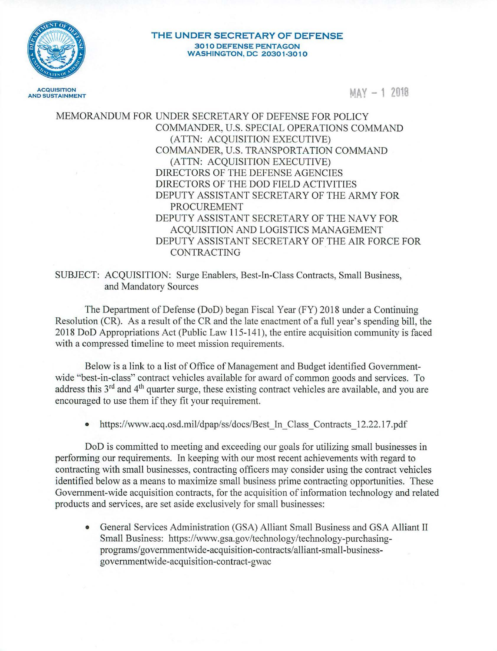

**THE UNDER SECRETARY OF DEFENSE 3010 DEFENSE PENTAGON WASHINGTON, DC 20301-30 10** 

 $MAX - 12018$ 

MEMORANDUM FOR UNDER SECRETARY OF DEFENSE FOR POLICY COMMANDER, U.S. SPECIAL OPERATIONS COMMAND (ATTN: ACQUISITION EXECUTIVE) COMMANDER, U.S. TRANSPORTATION COMMAND (ATTN: ACQUISITION EXECUTIVE) DIRECTORS OF THE DEFENSE AGENCIES DIRECTORS OF THE DOD FIELD ACTIVITIES DEPUTY ASSISTANT SECRETARY OF THE ARMY FOR PROCUREMENT DEPUTY ASSISTANT SECRETARY OF THE NAVY FOR ACQUISITION AND LOGISTICS MANAGEMENT DEPUTY ASSISTANT SECRETARY OF THE AIR FORCE FOR CONTRACTING

SUBJECT: ACQUISITION: Surge Enablers, Best-In-Class Contracts, Small Business, and Mandatory Sources

The Department of Defense (DoD) began Fiscal Year (FY) 2018 under a Continuing Resolution (CR). As a result of the CR and the late enactment of a full year's spending bill, the 2018 DoD Appropriations Act (Public Law 115-141 ), the entire acquisition community is faced with a compressed timeline to meet mission requirements.

Below is a link to a list of Office of Management and Budget identified Governmentwide "best-in-class" contract vehicles available for award of common goods and services. To address this 3<sup>rd</sup> and 4<sup>th</sup> quarter surge, these existing contract vehicles are available, and you are encouraged to use them if they fit your requirement.

• https://www.acq.osd.mil/dpap/ss/docs/Best In Class Contracts 12.22.17.pdf

DoD is committed to meeting and exceeding our goals for utilizing small businesses in performing our requirements. In keeping with our most recent achievements with regard to contracting with small businesses, contracting officers may consider using the contract vehicles identified below as a means to maximize small business prime contracting opportunities. These Government-wide acquisition contracts, for the acquisition of information technology and related products and services, are set aside exclusively for small businesses:

• General Services Administration (GSA) Alliant Small Business and GSA Alliant II Small Business: https://www.gsa.gov/technology/technology-purchasingprograms/ governmentwide-acq uisition-contracts/ alliant-small-businessgovernmentwide-acquisition-contract-gwac